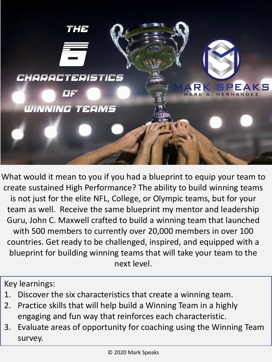

What would it mean to you if you had a blueprint to equip your team to create sustained High Performance? The ability to build winning teams is not just for the elite NFL, College, or Olympic teams, but for your team as well. Receive the same blueprint my mentor and leadership Guru, John C. Maxwell crafted to build a winning team that launched with 500 members to currently over 20,000 members in over 100 countries. Get ready to be challenged, inspired, and equipped with a blueprint for building winning teams that will take your team to the next level.

Key learnings:

- 1. Discover the six characteristics that create a winning team.
- 2. Practice skills that will help build a Winning Team in a highly engaging and fun way that reinforces each characteristic.
- 3. Evaluate areas of opportunity for coaching using the Winning Team survey.